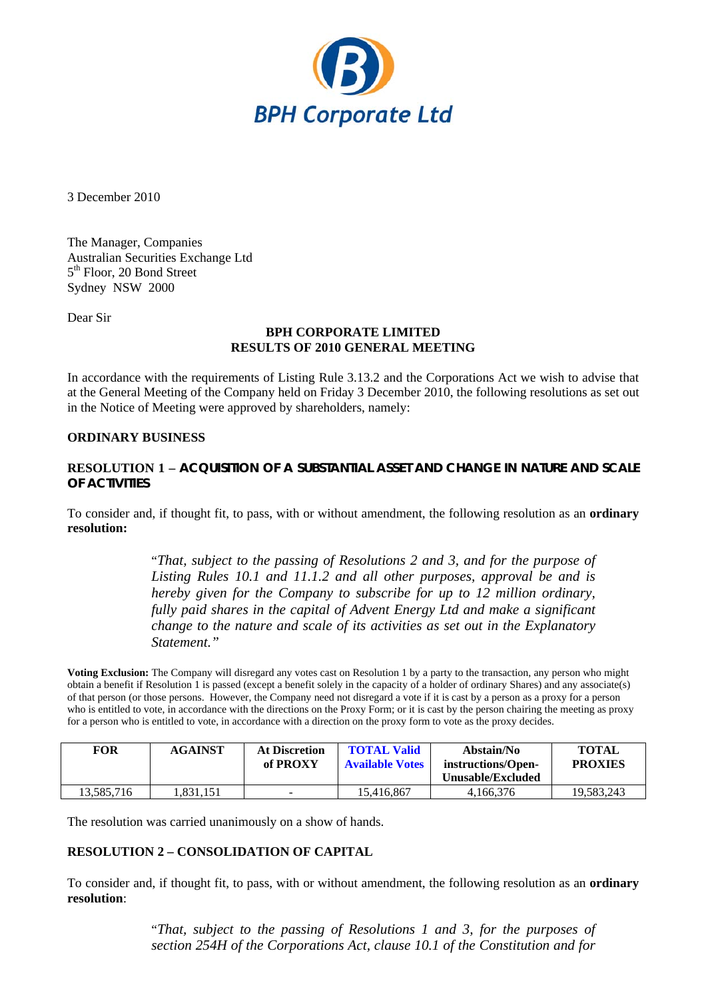

3 December 2010

The Manager, Companies Australian Securities Exchange Ltd 5<sup>th</sup> Floor, 20 Bond Street Sydney NSW 2000

Dear Sir

### **BPH CORPORATE LIMITED RESULTS OF 2010 GENERAL MEETING**

In accordance with the requirements of Listing Rule 3.13.2 and the Corporations Act we wish to advise that at the General Meeting of the Company held on Friday 3 December 2010, the following resolutions as set out in the Notice of Meeting were approved by shareholders, namely:

### **ORDINARY BUSINESS**

## **RESOLUTION 1 – ACQUISITION OF A SUBSTANTIAL ASSET AND CHANGE IN NATURE AND SCALE OF ACTIVITIES**

To consider and, if thought fit, to pass, with or without amendment, the following resolution as an **ordinary resolution:** 

> "*That, subject to the passing of Resolutions 2 and 3, and for the purpose of Listing Rules 10.1 and 11.1.2 and all other purposes, approval be and is hereby given for the Company to subscribe for up to 12 million ordinary, fully paid shares in the capital of Advent Energy Ltd and make a significant change to the nature and scale of its activities as set out in the Explanatory Statement."*

**Voting Exclusion:** The Company will disregard any votes cast on Resolution 1 by a party to the transaction, any person who might obtain a benefit if Resolution 1 is passed (except a benefit solely in the capacity of a holder of ordinary Shares) and any associate(s) of that person (or those persons. However, the Company need not disregard a vote if it is cast by a person as a proxy for a person who is entitled to vote, in accordance with the directions on the Proxy Form; or it is cast by the person chairing the meeting as proxy for a person who is entitled to vote, in accordance with a direction on the proxy form to vote as the proxy decides.

| FOR        | <b>AGAINST</b> | <b>At Discretion</b><br>of PROXY | <b>TOTAL Valid</b><br><b>Available Votes</b> | Abstain/No<br>instructions/Open- | <b>TOTAL</b><br><b>PROXIES</b> |
|------------|----------------|----------------------------------|----------------------------------------------|----------------------------------|--------------------------------|
|            |                |                                  |                                              | Unusable/Excluded                |                                |
| 13.585.716 | .831.151       | -                                | 15.416.867                                   | 4.166.376                        | 19.583.243                     |

The resolution was carried unanimously on a show of hands.

# **RESOLUTION 2 – CONSOLIDATION OF CAPITAL**

To consider and, if thought fit, to pass, with or without amendment, the following resolution as an **ordinary resolution**:

> "*That, subject to the passing of Resolutions 1 and 3, for the purposes of section 254H of the Corporations Act, clause 10.1 of the Constitution and for*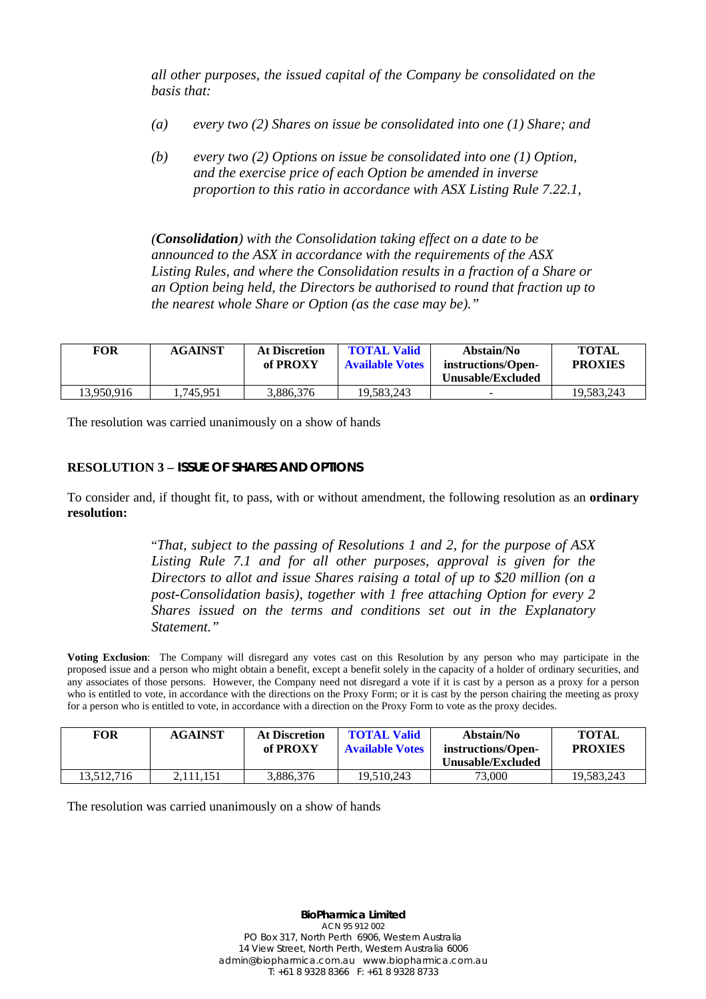*all other purposes, the issued capital of the Company be consolidated on the basis that:* 

- *(a) every two (2) Shares on issue be consolidated into one (1) Share; and*
- *(b) every two (2) Options on issue be consolidated into one (1) Option, and the exercise price of each Option be amended in inverse proportion to this ratio in accordance with ASX Listing Rule 7.22.1,*

*(Consolidation) with the Consolidation taking effect on a date to be announced to the ASX in accordance with the requirements of the ASX Listing Rules, and where the Consolidation results in a fraction of a Share or an Option being held, the Directors be authorised to round that fraction up to the nearest whole Share or Option (as the case may be)."* 

| <b>FOR</b> | <b>AGAINST</b> | <b>At Discretion</b><br>of PROXY | <b>TOTAL Valid</b><br><b>Available Votes</b> | Abstain/No<br>instructions/Open-<br>Unusable/Excluded | <b>TOTAL</b><br><b>PROXIES</b> |
|------------|----------------|----------------------------------|----------------------------------------------|-------------------------------------------------------|--------------------------------|
| 13.950.916 | .745.951       | 3,886,376                        | 19.583.243                                   |                                                       | 19.583.243                     |

The resolution was carried unanimously on a show of hands

### **RESOLUTION 3 – ISSUE OF SHARES AND OPTIONS**

To consider and, if thought fit, to pass, with or without amendment, the following resolution as an **ordinary resolution:** 

> "*That, subject to the passing of Resolutions 1 and 2, for the purpose of ASX Listing Rule 7.1 and for all other purposes, approval is given for the Directors to allot and issue Shares raising a total of up to \$20 million (on a post-Consolidation basis), together with 1 free attaching Option for every 2 Shares issued on the terms and conditions set out in the Explanatory Statement."*

**Voting Exclusion**: The Company will disregard any votes cast on this Resolution by any person who may participate in the proposed issue and a person who might obtain a benefit, except a benefit solely in the capacity of a holder of ordinary securities, and any associates of those persons. However, the Company need not disregard a vote if it is cast by a person as a proxy for a person who is entitled to vote, in accordance with the directions on the Proxy Form; or it is cast by the person chairing the meeting as proxy for a person who is entitled to vote, in accordance with a direction on the Proxy Form to vote as the proxy decides.

| <b>FOR</b> | <b>AGAINST</b> | <b>At Discretion</b><br>of PROXY | <b>TOTAL Valid</b><br><b>Available Votes</b> | Abstain/No<br>instructions/Open-<br>Unusable/Excluded | <b>TOTAL</b><br><b>PROXIES</b> |
|------------|----------------|----------------------------------|----------------------------------------------|-------------------------------------------------------|--------------------------------|
| 13.512.716 | 2.111.151      | 3.886.376                        | 19.510.243                                   | 73,000                                                | 19.583.243                     |

The resolution was carried unanimously on a show of hands

**BioPharmica Limited** ACN 95 912 002 PO Box 317, North Perth 6906, Western Australia 14 View Street, North Perth, Western Australia 6006 admin@biopharmica.com.au www.biopharmica.com.au T: +61 8 9328 8366 F: +61 8 9328 8733